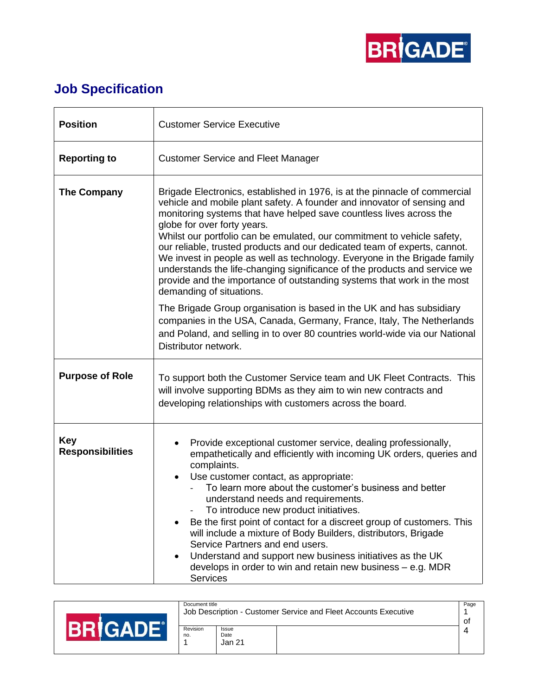

## **Job Specification**

| <b>Position</b>                       | <b>Customer Service Executive</b>                                                                                                                                                                                                                                                                                                                                                                                                                                                                                                                                                                                                                                                                                        |  |  |  |  |  |
|---------------------------------------|--------------------------------------------------------------------------------------------------------------------------------------------------------------------------------------------------------------------------------------------------------------------------------------------------------------------------------------------------------------------------------------------------------------------------------------------------------------------------------------------------------------------------------------------------------------------------------------------------------------------------------------------------------------------------------------------------------------------------|--|--|--|--|--|
| <b>Reporting to</b>                   | <b>Customer Service and Fleet Manager</b>                                                                                                                                                                                                                                                                                                                                                                                                                                                                                                                                                                                                                                                                                |  |  |  |  |  |
| <b>The Company</b>                    | Brigade Electronics, established in 1976, is at the pinnacle of commercial<br>vehicle and mobile plant safety. A founder and innovator of sensing and<br>monitoring systems that have helped save countless lives across the<br>globe for over forty years.<br>Whilst our portfolio can be emulated, our commitment to vehicle safety,<br>our reliable, trusted products and our dedicated team of experts, cannot.<br>We invest in people as well as technology. Everyone in the Brigade family<br>understands the life-changing significance of the products and service we<br>provide and the importance of outstanding systems that work in the most<br>demanding of situations.                                     |  |  |  |  |  |
|                                       | The Brigade Group organisation is based in the UK and has subsidiary<br>companies in the USA, Canada, Germany, France, Italy, The Netherlands<br>and Poland, and selling in to over 80 countries world-wide via our National<br>Distributor network.                                                                                                                                                                                                                                                                                                                                                                                                                                                                     |  |  |  |  |  |
| <b>Purpose of Role</b>                | To support both the Customer Service team and UK Fleet Contracts. This<br>will involve supporting BDMs as they aim to win new contracts and<br>developing relationships with customers across the board.                                                                                                                                                                                                                                                                                                                                                                                                                                                                                                                 |  |  |  |  |  |
| <b>Key</b><br><b>Responsibilities</b> | Provide exceptional customer service, dealing professionally,<br>$\bullet$<br>empathetically and efficiently with incoming UK orders, queries and<br>complaints.<br>Use customer contact, as appropriate:<br>$\bullet$<br>To learn more about the customer's business and better<br>understand needs and requirements.<br>To introduce new product initiatives.<br>Be the first point of contact for a discreet group of customers. This<br>$\bullet$<br>will include a mixture of Body Builders, distributors, Brigade<br>Service Partners and end users.<br>Understand and support new business initiatives as the UK<br>$\bullet$<br>develops in order to win and retain new business $-$ e.g. MDR<br><b>Services</b> |  |  |  |  |  |

|  | Document title<br>Job Description - Customer Service and Fleet Accounts Executive |                         |  |  |
|--|-----------------------------------------------------------------------------------|-------------------------|--|--|
|  | Revision<br>no.                                                                   | Issue<br>Date<br>Jan 21 |  |  |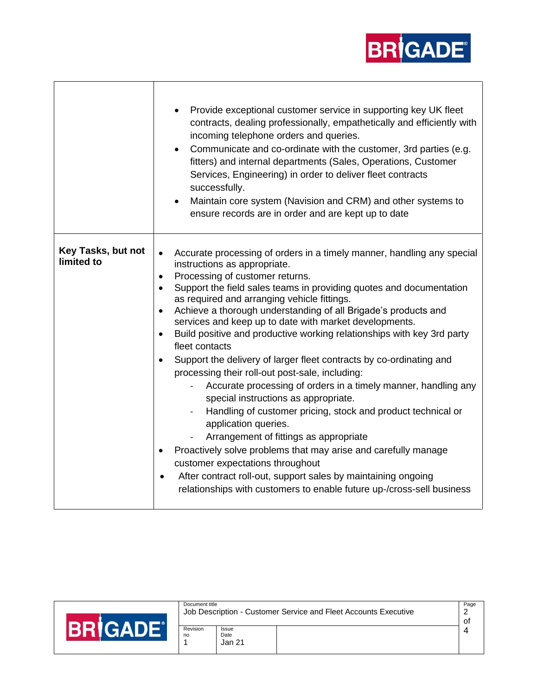

|                                  | Provide exceptional customer service in supporting key UK fleet<br>$\bullet$<br>contracts, dealing professionally, empathetically and efficiently with<br>incoming telephone orders and queries.<br>Communicate and co-ordinate with the customer, 3rd parties (e.g.<br>$\bullet$<br>fitters) and internal departments (Sales, Operations, Customer<br>Services, Engineering) in order to deliver fleet contracts<br>successfully.<br>Maintain core system (Navision and CRM) and other systems to<br>$\bullet$<br>ensure records are in order and are kept up to date                                                                                                                                                                                                                                                                                                                                                                                                                                                                                                                                                          |
|----------------------------------|---------------------------------------------------------------------------------------------------------------------------------------------------------------------------------------------------------------------------------------------------------------------------------------------------------------------------------------------------------------------------------------------------------------------------------------------------------------------------------------------------------------------------------------------------------------------------------------------------------------------------------------------------------------------------------------------------------------------------------------------------------------------------------------------------------------------------------------------------------------------------------------------------------------------------------------------------------------------------------------------------------------------------------------------------------------------------------------------------------------------------------|
| Key Tasks, but not<br>limited to | Accurate processing of orders in a timely manner, handling any special<br>instructions as appropriate.<br>Processing of customer returns.<br>٠<br>Support the field sales teams in providing quotes and documentation<br>as required and arranging vehicle fittings.<br>Achieve a thorough understanding of all Brigade's products and<br>services and keep up to date with market developments.<br>Build positive and productive working relationships with key 3rd party<br>fleet contacts<br>Support the delivery of larger fleet contracts by co-ordinating and<br>processing their roll-out post-sale, including:<br>Accurate processing of orders in a timely manner, handling any<br>special instructions as appropriate.<br>Handling of customer pricing, stock and product technical or<br>application queries.<br>Arrangement of fittings as appropriate<br>Proactively solve problems that may arise and carefully manage<br>customer expectations throughout<br>After contract roll-out, support sales by maintaining ongoing<br>$\bullet$<br>relationships with customers to enable future up-/cross-sell business |

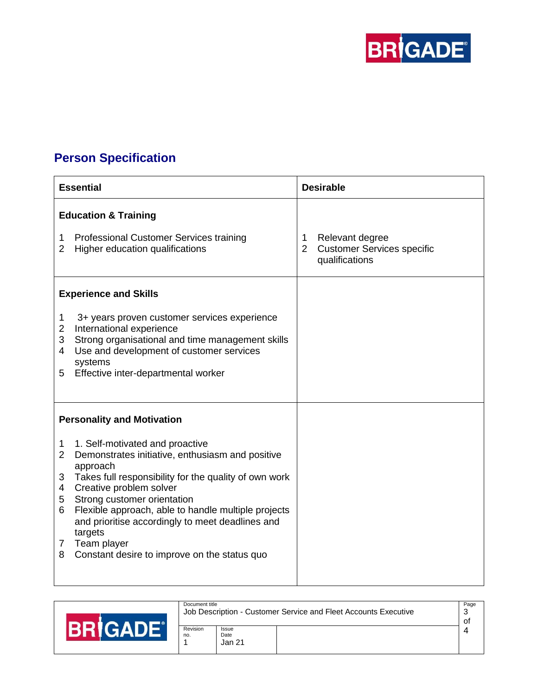

## **Person Specification**

|                                                   | <b>Essential</b>                                                                                                                                                                                                                                                                                                                                                                                        |                    | <b>Desirable</b>                                                       |
|---------------------------------------------------|---------------------------------------------------------------------------------------------------------------------------------------------------------------------------------------------------------------------------------------------------------------------------------------------------------------------------------------------------------------------------------------------------------|--------------------|------------------------------------------------------------------------|
|                                                   | <b>Education &amp; Training</b>                                                                                                                                                                                                                                                                                                                                                                         |                    |                                                                        |
| 1<br>$\overline{2}$                               | Professional Customer Services training<br>Higher education qualifications                                                                                                                                                                                                                                                                                                                              | 1<br>$\mathcal{P}$ | Relevant degree<br><b>Customer Services specific</b><br>qualifications |
|                                                   | <b>Experience and Skills</b>                                                                                                                                                                                                                                                                                                                                                                            |                    |                                                                        |
| 1<br>$\overline{2}$<br>3<br>4<br>5                | 3+ years proven customer services experience<br>International experience<br>Strong organisational and time management skills<br>Use and development of customer services<br>systems<br>Effective inter-departmental worker                                                                                                                                                                              |                    |                                                                        |
|                                                   | <b>Personality and Motivation</b>                                                                                                                                                                                                                                                                                                                                                                       |                    |                                                                        |
| 1<br>$\overline{2}$<br>3<br>4<br>5<br>6<br>7<br>8 | 1. Self-motivated and proactive<br>Demonstrates initiative, enthusiasm and positive<br>approach<br>Takes full responsibility for the quality of own work<br>Creative problem solver<br>Strong customer orientation<br>Flexible approach, able to handle multiple projects<br>and prioritise accordingly to meet deadlines and<br>targets<br>Team player<br>Constant desire to improve on the status quo |                    |                                                                        |

|  | Document title<br>Job Description - Customer Service and Fleet Accounts Executive |                         |  |  |
|--|-----------------------------------------------------------------------------------|-------------------------|--|--|
|  | Revision<br>no.                                                                   | Issue<br>Date<br>Jan 21 |  |  |